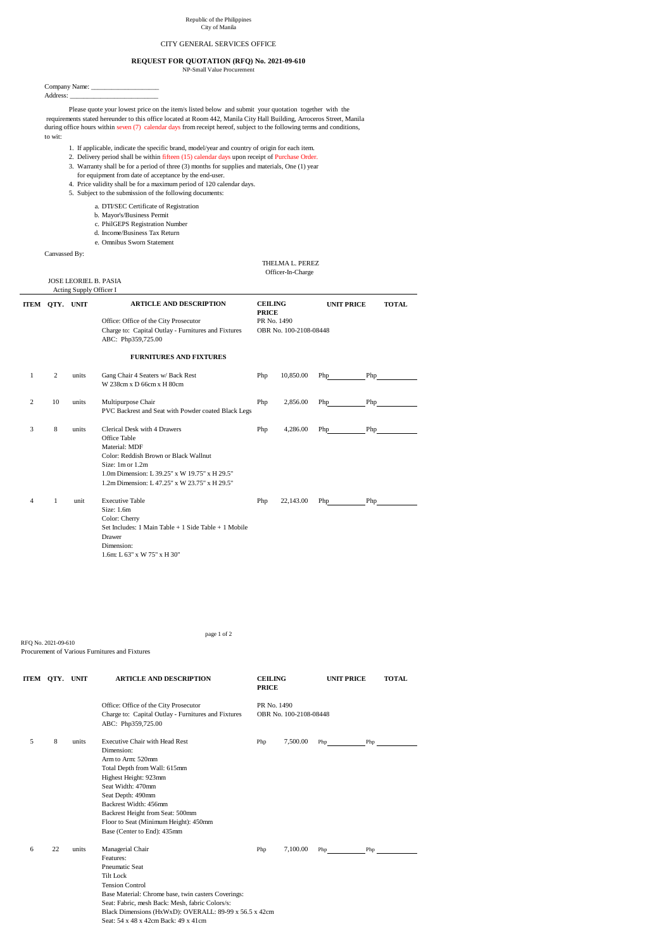Company Name: \_\_\_\_\_\_\_\_\_\_\_\_\_\_\_\_\_\_\_\_ Address: \_\_\_\_\_\_\_\_\_\_\_\_\_\_\_\_\_\_\_\_\_\_\_\_\_\_

Please quote your lowest price on the item/s listed below and submit your quotation together with the requirements stated hereunder to this office located at Room 442, Manila City Hall Building, Arroceros Street, Manila during office hours within seven (7) calendar days from receipt hereof, subject to the following terms and conditions, to wit:

- 1. If applicable, indicate the specific brand, model/year and country of origin for each item.
- 2. Delivery period shall be within fifteen (15) calendar days upon receipt of Purchase Order.
- 3. Warranty shall be for a period of three (3) months for supplies and materials, One (1) year for equipment from date of acceptance by the end-user.
- 4. Price validity shall be for a maximum period of 120 calendar days.
- 5. Subject to the submission of the following documents:
	- a. DTI/SEC Certificate of Registration
	- b. Mayor's/Business Permit
	- c. PhilGEPS Registration Number
	- d. Income/Business Tax Return
	- e. Omnibus Sworn Statement

Canvassed By:

 THELMA L. PEREZ Officer-In-Charge

## JOSE LEORIEL B. PASIA

Acting Supply Officer I

RFQ No. 2021-09-610

|   | ITEM QTY. UNIT |       | <b>ARTICLE AND DESCRIPTION</b>                                                                                                                                                                                               | <b>CEILING</b><br><b>PRICE</b> |                        | <b>UNIT PRICE</b> |     | <b>TOTAL</b> |
|---|----------------|-------|------------------------------------------------------------------------------------------------------------------------------------------------------------------------------------------------------------------------------|--------------------------------|------------------------|-------------------|-----|--------------|
|   |                |       | Office: Office of the City Prosecutor<br>Charge to: Capital Outlay - Furnitures and Fixtures<br>ABC: Php359,725.00                                                                                                           | PR No. 1490                    | OBR No. 100-2108-08448 |                   |     |              |
|   |                |       | <b>FURNITURES AND FIXTURES</b>                                                                                                                                                                                               |                                |                        |                   |     |              |
| 1 | $\overline{2}$ | units | Gang Chair 4 Seaters w/ Back Rest<br>W 238cm x D 66cm x H 80cm                                                                                                                                                               | Php                            | 10,850.00              | Php               | Php |              |
| 2 | 10             | units | Multipurpose Chair<br>PVC Backrest and Seat with Powder coated Black Legs                                                                                                                                                    | Php                            | 2,856.00               | Php               | Php |              |
| 3 | $\,8\,$        | units | Clerical Desk with 4 Drawers<br>Office Table<br>Material: MDF<br>Color: Reddish Brown or Black Wallnut<br>Size: 1m or 1.2m<br>1.0m Dimension: L 39.25" x W 19.75" x H 29.5"<br>1.2m Dimension: L 47.25" x W 23.75" x H 29.5" | Php                            | 4,286.00               | Php               | Php |              |
| 4 | $\mathbf{1}$   | unit  | <b>Executive Table</b><br>Size: 1.6m<br>Color: Cherry<br>Set Includes: 1 Main Table $+$ 1 Side Table $+$ 1 Mobile<br><b>Drawer</b><br>Dimension:<br>1.6m: L 63" x W 75" x H 30"                                              | Php                            | 22,143.00              | Php               | Php |              |

|   | ITEM QTY. UNIT |       | <b>ARTICLE AND DESCRIPTION</b><br><b>CEILING</b><br><b>PRICE</b>                                                                                                                                                                                                                                                 |                                       |          |     | <b>UNIT PRICE</b> | <b>TOTAL</b> |
|---|----------------|-------|------------------------------------------------------------------------------------------------------------------------------------------------------------------------------------------------------------------------------------------------------------------------------------------------------------------|---------------------------------------|----------|-----|-------------------|--------------|
|   |                |       | Office: Office of the City Prosecutor<br>Charge to: Capital Outlay - Furnitures and Fixtures<br>ABC: Php359,725.00                                                                                                                                                                                               | PR No. 1490<br>OBR No. 100-2108-08448 |          |     |                   |              |
| 5 | 8              | units | <b>Executive Chair with Head Rest</b><br>Dimension:<br>Arm to Arm: 520mm<br>Total Depth from Wall: 615mm<br>Highest Height: 923mm<br>Seat Width: 470mm<br>Seat Depth: 490mm<br>Backrest Width: 456mm<br>Backrest Height from Seat: 500mm<br>Floor to Seat (Minimum Height): 450mm<br>Base (Center to End): 435mm | Php                                   | 7,500.00 | Php | Php               |              |
| 6 | 22             | units | Managerial Chair<br>Features:<br><b>Pneumatic Seat</b><br><b>Tilt Lock</b><br><b>Tension Control</b><br>Base Material: Chrome base, twin casters Coverings:<br>Seat: Fabric, mesh Back: Mesh, fabric Colors/s:<br>Black Dimensions (HxWxD): OVERALL: 89-99 x 56.5 x 42cm<br>Seat: 54 x 48 x 42cm Back: 49 x 41cm | Php                                   | 7,100.00 | Php | Php               |              |

page 1 of 2

## Republic of the Philippines City of Manila

## CITY GENERAL SERVICES OFFICE

## **REQUEST FOR QUOTATION (RFQ) No. 2021-09-610**

NP-Small Value Procurement